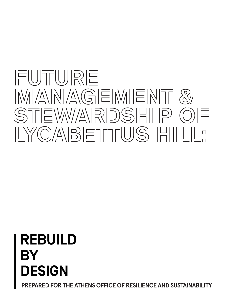# **FUTURE**  IMIANNAGEMIENT & STEW/ARDSHIIP OF **LYCABETTUS HILL:**

# **REBUILD** BY **DESIGN**

**PREPARED FOR THE ATHENS OFFICE OF RESILIENCE AND SUSTAINABILITY**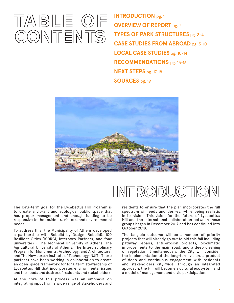# **TABLE OF CONTENTS**

**INTRODUCTION** pg. 1 **OVERVIEW OF REPORT** pg. 2 **TYPES OF PARK STRUCTURES** pg. 3-4 **CASE STUDIES FROM ABROAD** pg. 5-10 **LOCAL CASE STUDIES** pg. 10-14 **RECOMMENDATIONS** pg. 15-16 **NEXT STEPS** pg. 17-18 **SOURCES** pg. 19



# **INTRODUCTION**

The long-term goal for the Lycabettus Hill Program is to create a vibrant and ecological public space that has proper management and enough funding to be responsive to the residents, visitors, and environmental needs.

To address this, the Municipality of Athens developed a partnership with Rebuild by Design (Rebuild), 100 Resilient Cities (100RC), Interboro Partners, and four universities - The Technical University of Athens, The Agricultural University of Athens, The Interdisciplinary Program for Monuments, Archeology, and Architecture, and The New Jersey Institute of Technology (NJIT). These partners have been working in collaboration to create an open space framework for long-term stewardship of Lycabettus Hill that incorporates environmental issues and the needs and desires of residents and stakeholders.

At the core of this process was an emphasis on integrating input from a wide range of stakeholders and

residents to ensure that the plan incorporates the full spectrum of needs and desires, while being realistic in its vision. This vision for the future of Lycabettus Hill and the international collaboration between these groups began in December 2017 and has continued into October 2018.

The tangible outcome will be a number of priority projects that will already go out to bid this fall including pathway repairs, anti-erosion projects, bioclimatic improvements to the main road, and a deep cleaning of vegetation. Simultaneously, the City will consider the implementation of the long-term vision, a product of deep and continuous engagement with residents and stakeholders city-wide. Through an integrated approach, the Hill will become a cultural ecosystem and a model of management and civic participation.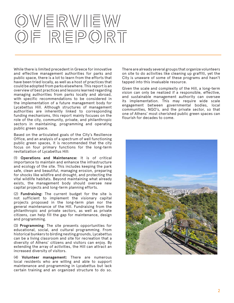# OWERWIEW **OF REPORT**

While there is limited precedent in Greece for innovative and effective management authorities for parks and public space, there is a lot to learn from the efforts that have been tried locally, as well as a host of practices that could be adopted from parks elsewhere. This report is an overview of best practices and lessons learned regarding managing authorities from parks locally and abroad, with specific recommendations to be considered in the implementation of a future management body for Lycabettus Hill. Although structures of management authorities are inherently linked to corresponding funding mechanisms, this report mainly focuses on the role of the city, community, private, and philanthropic sectors in maintaining, programming and operating public green space.

Based on the articulated goals of the City's Resilience Office, and an analysis of a spectrum of well functioning public green spaces, it is recommended that the city focus on four primary functions for the long-term revitalization of Lycabettus Hill:

(1) **Operations and Maintenance:** It is of critical importance to maintain and enhance the infrastructure and ecology of the site. This includes keeping the park safe, clean and beautiful, managing erosion, preparing for shocks like wildfire and drought, and protecting the vital wildlife habitats. Beyond maintaining what already exists, the management body should oversee new capital projects and long-term planning efforts.

(2) **Fundraising:** The current budget for the site is not sufficient to implement the visionary capital projects proposed in the long-term plan nor the general maintenance of the Hill. Fundraising from the philanthropic and private sectors, as well as private citizens, can help fill the gap for maintenance, design and programming.

(3) **Programming**: The site presents opportunities for educational, social, and cultural programming. From historical bunkers to birding nesting grounds, Lycabettus can be a living classroom and site for recreation that a diversity of Athens' citizens and visitors can enjoy. By extending the array of activities, the Hill can attract an increased diversity of visitors.

(4) **Volunteer management:** There are numerous local residents who are willing and able to support maintenance and programming in Lycabettus but lack certain training and an organized structure to do so. There are already several groups that organize volunteers on site to do activities like cleaning up graffiti, yet the City is unaware of some of these programs and hasn't tapped into this invaluable resource.

Given the scale and complexity of the Hill, a long-term vision can only be realized if a responsible, effective, and sustainable management authority can oversee its implementation. This may require wide scale engagement between governmental bodies, local communities, NGO's, and the private sector, so that one of Athens' most cherished public green spaces can flourish for decades to come.

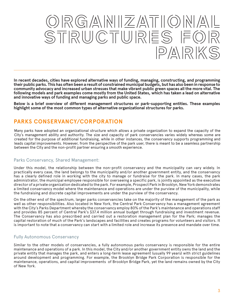# **ORGANIZATIONAL**  STRUCTURES FO PARK

**In recent decades, cities have explored alternative ways of funding, managing, constructing, and programming their public parks. This has often been a result of constrained municipal budgets, but has also been in response to community advocacy and increased urban stresses that make vibrant public green spaces all the more vital. The following models and park examples come mostly from the United States, which has taken a lead on alternative and innovative ways of funding and managing parks and public space.** 

**Below is a brief overview of different management structures or park-supporting entities. These examples highlight some of the most common types of alternative organizational structures for parks.**

## **PARKS CONSERVANCY/CORPORATION**

Many parks have adopted an organizational structure which allows a private organization to expand the capacity of the City's management ability and authority. The size and capacity of park conservancies varies widely whereas some are created for the purpose of additional fundraising, while in other instances, the conservancy supports programming and leads capital improvements. However, from the perspective of the park user, there is meant to be a seamless partnership between the City and the non-profit partner ensuring a smooth experience.

### Parks Conservancy, Shared Management:

Under this model, the relationship between the non-profit conservancy and the municipality can vary widely. In practically every case, the land belongs to the municipality and/or another government entity, and the conservancy has a clearly defined role in working with the city to manage or fundraise for the park. In many cases, the park administrator, the municipal employee responsible for overseeing a specific park, is jointly appointed as the executive director of a private organization dedicated to the park. For example, Prospect Park in Brooklyn, New York demonstrates a limited conservancy model where the maintenance and operations are under the purview of the municipality, while the fundraising and discrete capital improvements are under the purview of the conservancy.

On the other end of the spectrum, larger parks conservancies take on the majority of the management of the park as well as other responsibilities. Also located in New York, the Central Park Conservancy has a management agreement with the City's Parks Department whereby the conservancy employ 80% of the Park's maintenance and operations staff and provides 85 percent of Central Park's \$37.4 million annual budget through fundraising and investment revenue. The Conservancy has also prescribed and carried out a restoration management plan for the Park; manages the capital restoration of much of the Park's landscapes and facilities and creates programs for volunteers and visitors. It is important to note that a conservancy can start with a limited role and increase its presence and mandate over time.

### Fully Autonomous Conservancy

Similar to the other models of conservancies, a fully autonomous parks conservancy is responsible for the entire maintenance and operations of a park. In this model, the City and/or another government entity owns the land and the private entity that manages the park, and enters a long-term lease agreement (usually 99 years) with strict guidelines around development and programming. For example, the Brooklyn Bridge Park Corporation is responsible for the maintenance, operations, and capital improvements of Brooklyn Bridge Park, yet the land remains owned by the City of New York.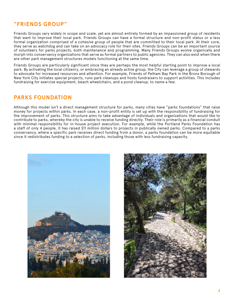## **"FRIENDS GROUP"**

Friends Groups vary widely in scope and scale, yet are almost entirely formed by an impassioned group of residents that want to improve their local park. Friends Groups can have a formal structure and non-profit status or a less formal organization comprised of a cohesive group of people that are committed to their local park. At their core, they serve as watchdog and can take on an advocacy role for their sites. Friends Groups can be an important source of volunteers for parks projects, both maintenance and programming. Many Friends Groups evolve organically and morph into conservancy organizations that serve as formal partners to public agencies. They can also exist when there are other park management structures models functioning at the same time.

Friends Groups are particularly significant since they are perhaps the most helpful starting point to improve a local park. By activating the local citizenry, or embracing an already active group, the City can leverage a group of stewards to advocate for increased resources and attention. For example, Friends of Pelham Bay Park in the Bronx Borough of New York City initiates special projects, runs park cleanups and hosts fundraisers to support activities. This includes fundraising for exercise equipment, beach wheelchairs, and a pond cleanup, to name a few.

## **PARKS FOUNDATION**

Although this model isn't a direct management structure for parks, many cities have "parks foundations" that raise money for projects within parks. In each case, a non-profit entity is set up with the responsibility of fundraising for the improvement of parks. This structure aims to take advantage of individuals and organizations that would like to contribute to parks, whereby the city is unable to receive funding directly. Their role is primarily as a financial conduit with minimal responsibility for in-house project execution. For example, while the Portland Parks Foundation has a staff of only 4 people, it has raised \$11 million dollars to projects in publically owned parks. Compared to a parks conservancy, where a specific park receives direct funding from a donor, a parks foundation can be more equitable since it redistributes funding to a selection of parks, including those with less fundraising capacity.



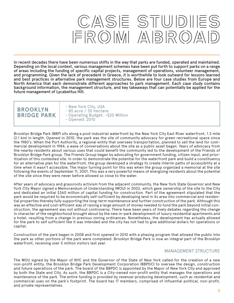# CASE STUDIES FROM ABROA

In recent decades there have been numerous shifts in the way that parks are funded, operated and maintained. Depending on the local context, various management schemes have been put forth to support parks on a range of areas including the funding of specific capital projects, management of operations, volunteer management, and programming. Given the lack of precedent in Greece, it is worthwhile to look outward for lessons learned and best practices in alternative park management structures. Below are four case studies from Europe and North America that each demonstrate different approaches to park management. Each case study contains background information, the management structure, and key takeaways that can potentially be applied for the future management of Lycabettus Hill.

| <b>BROOKLYN</b>    |  |
|--------------------|--|
| <b>BRIDGE PARK</b> |  |

- New York City, USA - 85 acre / 35 hectare - Operating Budget: ~\$20 Million - Opened: 2010

Brooklyn Bridge Park (BBP) sits along a post-industrial waterfront by the New York City East River waterfront, 1.3 mile (2.1 km) in length. Opened in 2010, the park was the site of community advocacy for green recreational space since the 1980's. When the Port Authority, a regional entity that oversees transportation, planned to sell the land for commercial development in 1984, a wave of conversations about the site as a public asset began. Years of advocacy from the nearby residents about various uses that could benefit the community led to the development of the Friends of Brooklyn Bridge Park group. The Friends Group began by advocating for government funding, citizen input, and prioritization of this contested site. In order to demonstrate the potential for the waterfront park and build a constituency for an alternative plan for the waterfront, the group developed a strategy to create interim paths of accessibility at a time when it wasn't accessible. The major turning point for this was when the group organized a memorial at the site following the events of September 11, 2001. This was a very powerful means of energizing residents about the potential of the site since they were never before allowed so close to the water.

After years of advocacy and grassroots activism from the adjacent community, the New York State Governor and New York City Mayor signed a Memorandum of Understanding (MOU) in 2002, which gave ownership of the site to the City and dedicated an initial \$360 million of capital funding for construction. Part of the agreement stipulated that the park would be required to be economically self-sufficient by developing land in its area into commercial and residential properties thereby fully supporting the long-term maintenance and further construction of the park. Although this was an effective and cost-efficient way of raising a large amount of money needed to fund the park beyond initial construction, the agreement was not without controversy. There have been years of lively debates regarding the change in character of the neighborhood brought about by the new in-park development of luxury residential apartments and a hotel, resulting from a change in previous zoning ordinances. Nonetheless, the development has actually allowed for the park to self sufficient like it was intended and the city has not had to give additional dollars for operations or capital.

Construction of the park began in 2008 and first opened in 2010 with a phasing program that allowed the public into the park as other portions of the park were completed. Brooklyn Bridge Park is now an integral part of the Brooklyn waterfront, receiving over 5 million visitors last year.

### MANAGEMENT STRUCTURE

The MOU signed by the Mayor of NYC and the Governor of the State of New York called for the creation of a new non-profit entity, the Brooklyn Bridge Park Development Corporation (BBPDC) to oversee the design, construction and future operations of the park. The board of the BBPDC is appointed by the Mayor of New York City and approved by both the State and City. As such, the BBPDC is a City-owned non-profit entity that manages the operations and maintenance of the park. The entire funding is provided by revenue-producing development, such as residential and commercial uses on the park's footprint. The board has 17 members, comprised of influential political, non-profit, and private representatives.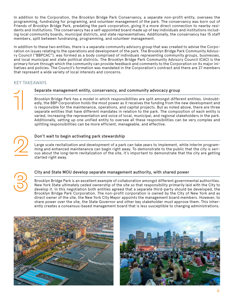In addition to the Corporation, the Brooklyn Bridge Park Conservancy, a separate non-profit entity, oversees the programming, fundraising for programing, and volunteer management of the park. The conservancy was born out of Friends of Brooklyn Bridge Park, predating the park corporation, giving it a more direct connection to nearby residents and institutions. The conservancy has a self-appointed board made up of key individuals and institutions including local community boards, municipal districts, and state representatives. Additionally, the conservancy has 15 staff members, split between fundraising, programming, and volunteer management.

In addition to these two entities, there is a separate community advisory group that was created to advise the Corporation on issues relating to the operations and development of the park. The Brooklyn Bridge Park Community Advisory Council ("BBPCAC"), was formed as a body comprised of individuals representing community groups, businesses, and local municipal and state political districts. The Brooklyn Bridge Park Community Advisory Council (CAC) is the primary forum through which the community can provide feedback and comments to the Corporation on its major initiatives and policies. The Council's formation was mandated in the Corporation's contract and there are 27 members that represent a wide variety of local interests and concerns.

### KEY TAKEAWAYS

#### Separate management entity, conservancy, and community advocacy group

Brooklyn Bridge Park has a model in which responsibilities are split amongst different entities. Undoubtedly, the BBP Corporation holds the most power as it receives the funding from the new development and is responsible for the maintenance, operations, and capital projects. But as noted above, there are three separate entities that have different mandates in relation to the park. The composition of each entity is varied, increasing the representation and voice of local, municipal, and regional stakeholders in the park. Additionally, setting up one unified entity to oversee all these responsibilities can be very complex and splitting responsibilities can be more efficient, manageable, and effective.

#### Don't wait to begin activating park stewardship

Large scale revitalization and development of a park can take years to implement, while interim programming and enhanced maintenance can begin right away. To demonstrate to the public that the city is serious about the long-term revitalization of the site, it's important to demonstrate that the city are getting started right away.

#### City and State MOU develop separate management authority, with shared power

Brooklyn Bridge Park is an excellent example of collaboration amongst different governmental authorities. New York State ultimately ceded ownership of the site so that responsibility primarily laid with the City to develop it. In this negotiation both entities agreed that a separate third-party should be developed, the Brooklyn Bridge Park Corporation. The non-profit corporation is owned by the City of New York and as direct owner of the site, the New York City Mayor appoints the management board members. However, to share power over the site, the State Governor and other key stakeholder must approve them. This inherently creates a consensus-based management board that is less susceptible to changing administrations.



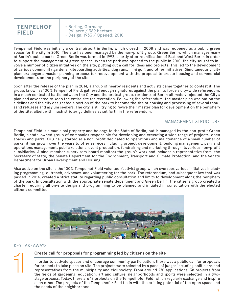

- Berling, Germany - 961 acre / 389 hectare - Design: 1933 / Opened: 2010

Tempelhof Field was initially a central airport in Berlin, which closed in 2008 and was reopened as a public green space for the city in 2010. The site has been managed by the non-profit group, Green Berlin, which manages many of Berlin's public parks. Green Berlin was formed in 1992, shortly after reunification of East and West Berlin in order to support the management of green spaces. When the park was opened to the public in 2010, the city sought to involve a number of citizen initiatives on the site, putting out a call for ideas and projects. This led to the development of various community gardens, kiteboarding activities, dog runs, mini golf, and other initiatives. Simultaneously, city planners began a master planning process for redevelopment with the proposal to create housing and commercial developments on the periphery of the site.

Soon after the release of the plan in 2014, a group of nearby residents and activists came together to contest it. The group, known as 100% Tempelhof Field, gathered enough signatures against the plan to force a city-wide referendum. In a much contested battle between the City and the protest group, residents of Berlin ultimately rejected the City's plan and advocated to keep the entire site for recreation. Following the referendum, the master plan was put on the sidelines and the city designated a portion of the park to become the site of housing and processing of several thousand refugees and asylum seekers. The city is still trying to revive their master plan for development on the periphery of the site, albeit with much stricter guidelines as set forth in the referendum.

#### MANAGEMENT STRUCTURE

Tempelhof Field is a municipal property and belongs to the State of Berlin, but is managed by the non-profit Green Berlin, a state-owned group of companies responsible for developing and executing a wide range of projects, open spaces and parks. Originally started as a non-profit dedicated to operations and maintenance of a small number of parks, it has grown over the years to offer services including project development, building management, park and operations management, public relations, event production, fundraising and marketing through its various non-profit subsidiaries. A nine-member supervisory board monitors the group's work and includes a representative from the Secretary of State, the Senate Department for the Environment, Transport and Climate Protection, and the Senate Department for Urban Development and Housing.

Also active on the site is the 100% Tempelhof Field volunteer/activist group which oversees various initiatives including programming, outreach, advocacy, and volunteering for the park. The referendum, and subsequent law that was passed in 2014, created a strict statute regarding public consultation and limits to development along the periphery of the park. In consultation with the appropriate senate department and Green Berlin, the citizens group created a charter requiring all on-site design and programming to be planned and initiated in consultation with the elected citizens committee.



#### KEY TAKEAWAYS

#### Create call for proposals for programming led by citizens on the site

In order to activate spaces and encourage community participation, there was a public call for proposals for projects to take place on site. The projects were selected by a panel of judges including politicians and representatives from the municipality and civil society. From around 270 applications, 38 projects from the fields of gardening, education, art and culture, neighborhoods and sports were selected in a twostage process. Today, there are 18 projects on the Tempelhofer Feld, which regularly exchange and inspire each other. The projects of the Tempelhofer Feld tie in with the existing potential of the open space and the needs of the neighborhood.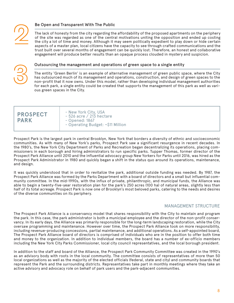

#### Be Open and Transparent With The Public

The lack of honesty from the city regarding the affordability of the proposed apartments on the periphery of the site was regarded as one of the central motivations uniting the opposition and ended up costing the city a lot of time and money. Although it may seem politically expedient to play down or hide certain aspects of a master plan, local citizens have the capacity to see through crafted communications and the trust built over several months of engagement can be quickly lost. Therefore, an honest and collaborative engagement will produce better results than an opaque process clouded in mystery and suspicion.



#### Outsourcing the management and operations of green space to a single entity

The entity 'Green Berlin' is an example of alternative management of green public space, where the City has outsourced much of its management and operations, construction, and design of green spaces to the non-profit that it now owns. Under this model, rather than developing individual management authorities for each park, a single entity could be created that supports the management of this park as well as various green spaces in the City.

- New York City, USA - 526 acre / 213 hectare
- Opened: 1867

#### - Operating Budget: ~\$11 Million

Prospect Park is the largest park in central Brooklyn, New York that borders a diversity of ethnic and socioeconomic communities. As with many of New York's parks, Prospect Park saw a significant resurgence in recent decades. In the 1980's, the New York City Department of Parks and Recreation began decentralizing its operations, placing commissioners in each borough and hiring administrators to run specific parks. Tupper Thomas, former director of the Prospect Park Alliance until 2010 and the influential advocacy group New Yorkers for Parks until 2016, was hired as the Prospect Park Administrator in 1980 and quickly began a shift in the status quo around its operations, maintenance, and design.

It was quickly understood that in order to revitalize the park, additional outside funding was needed. By 1987, the Prospect Park Alliance was formed by the Parks Department with a board of directors and a small but influential community committee. In the mid-1990s, with the influx of private, philanthropic, and municipal funds, the Alliance was able to begin a twenty-five-year restoration plan for the park's 250 acres (100 ha) of natural areas, slightly less than half of its total acreage. Prospect Park is now one of Brooklyn's most beloved parks, catering to the needs and desires of the diverse communities on its periphery.

#### MANAGEMENT STRUCTURE

The Prospect Park Alliance is a conservancy model that shares responsibility with the City to maintain and program the park. In this case, the park administrator is both a municipal employee and the director of the non-profit conservancy. In its early days, the Alliance was primarily responsible for the long-term landscaping restoration, while the City oversaw programming and maintenance. However over time, the Prospect Park Alliance took on more responsibility, including revenue-producing concessions, partial maintenance, and additional operations. As a self-appointed board, The Prospect Park Alliance board of directors is comprised of individuals who are in the position to offer both time and money to the organization. In addition to individual members, the board has a number of ex-officio members including the New York City Parks Commissioner, local city council representatives, and the local borough president.

In addition to the staff and board of the Alliance, the Prospect Park Community Committee was created in the 1990's as an advisory body with roots in the local community. The committee consists of representatives of more than 50 local organizations as well as the majority of the elected officials (federal, state and city) and community boards that represent the Park and the surrounding districts. Representatives take part in monthly meetings where they take an active advisory and advocacy role on behalf of park users and the park-adjacent communities.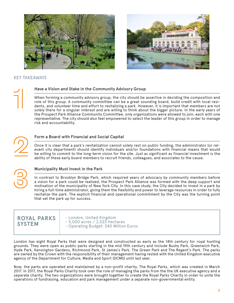



#### KEY TAKEAWAYS

#### Have a Vision and Stake in the Community Advisory Group

When forming a community advisory group, the city should be assertive in deciding the composition and role of this group. A community committee can be a great sounding board, build credit with local residents, and volunteer time and effort to revitalizing a park. However, it is important that members are not solely there for a singular interest and are willing to think about the bigger picture. In the early years of the Prospect Park Alliance Community Committee, only organizations were allowed to join, each with one representative. The city should also feel empowered to select the leader of this group in order to manage risk and accountability.

#### Form a Board with Financial and Social Capital

Once it is clear that a park's revitalization cannot solely rest on public funding, the administrator (or relevant city department) should identify individuals and/or foundations with financial means that would be willing to commit to the long-term vision for the site. Just as significant as financial investment is the ability of these early board members to recruit friends, colleagues, and associates to the cause.



#### Municipality Must Invest in the Park

In contrast to Brooklyn Bridge Park, which required years of advocacy by community members before a vision for a park could be realized, the Prospect Park Alliance was formed with the deep support and motivation of the municipality of New York City. In this case study, the City decided to invest in a park by hiring a full-time administrator, giving them the flexibility and power to leverage resources in order to fully revitalize the park. The explicit financial and operational commitment by the City was the turning point that set the park up for success.

**ROYAL PARKS SYSTEM** 

- London, United Kingdom - 5,000 acres / 2,023 hectares - Operating Budget: \$40 Million Euros

London has eight Royal Parks that were designed and constructed as early as the 14th century for royal hunting grounds. They were open as public parks starting in the mid 19th century and include Bushy Park, Greenwich Park, Hyde Park, Kensington Gardens, Richmond Park, St James's Park, The Green Park and The Regent's Park. The parks are owned by the Crown with the responsibility of their management having rested with the United Kingdom executive agency of the Department for Culture, Media and Sport (DCMS) until last year.

Now, the parks are operated and maintained by a non-profit charity, The Royal Parks, which was created in March 2017. In 2017, the Royal Parks Charity took over the role of managing the parks from the the UK executive agency and a separate charity. The two organizations were brought together to create the Royal Parks Charity in order to unite the operations of fundraising, education and park management under a separate non-governmental entity.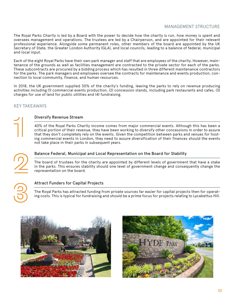### MANAGEMENT STRUCTURE

The Royal Parks Charity is led by a Board with the power to decide how the charity is run, how money is spent and oversees management and operations. The trustees are led by a Chairperson, and are appointed for their relevant professional experience. Alongside some permanent roles, other members of the board are appointed by the UK Secretary of State, the Greater London Authority (GLA), and local councils, leading to a balance of federal, municipal and local input.

Each of the eight Royal Parks have their own park manager and staff that are employees of the charity. However, maintenance of the grounds as well as facilities management are contracted to the private sector for each of the parks. These subcontracts are procured by a bidding process which has resulted in three different maintenance contractors for the parks. The park managers and employees oversee the contracts for maintenance and events production, connection to local community, finance, and human resources.

In 2018, the UK government supplied 30% of the charity's funding, leaving the parks to rely on revenue producing activities including (1) commercial events production, (2) concession stands, including park restaurants and cafes, (3) charges for use of land for public utilities and (4) fundraising.

#### KEY TAKEAWAYS

#### Diversify Revenue Stream

40% of the Royal Parks Charity income comes from major commercial events. Although this has been a critical portion of their revenue, they have been working to diversify other concessions in order to assure that they don't completely rely on the events. Given the competition between parks and venues for hosting commercial events in London, they need to assure diversification of their finances should the events not take place in their parks in subsequent years.



#### Balance Federal, Municipal and Local Representation on the Board for Stability

The board of trustees for the charity are appointed by different levels of government that have a stake in the parks. This ensures stability should one level of government change and consequently change the representation on the board.

#### Attract Funders for Capital Projects

The Royal Parks has attracted funding from private sources far easier for capital projects then for operating costs. This is typical for fundraising and should be a prime focus for projects relating to Lycabettus Hill.



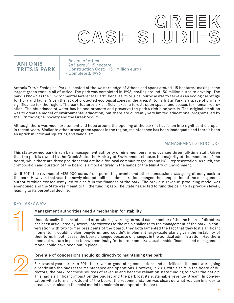# **GREEK CASE STUDIES**

## **ANTONIS TRITSIS PARK**

- Region of Attica
- 285 acre / 115 hectare
- Construction Cost: ~150 Million euros
- Completed: 1996

Antonis Tritsis Ecological Park is located at the western edge of Athens and spans around 115 hectares, making it the largest green zone in all of Attica. The park was completed in 1996, costing around 150 million euros to develop. The park is known as the "Environmental Awareness Park" because its original purpose was to serve as an ecological refuge for flora and fauna. Given the lack of protected ecological zones in the area, Antonis Tritsis Park is a space of primary significance for the region. The park features six artificial lakes, a forest, open space, and spaces for human recreation. The abundance of water has helped promote and preserve the park's rich biodiversity. The original ambition was to create a model of environmental education, but there are currently very limited educational programs led by the Ornithological Society and the Greek Scouts.

Although there was much excitement and hope around the opening of the park, it has fallen into significant disrepair in recent years. Similar to other urban green spaces in the region, maintenance has been inadequate and there's been an uptick in informal squatting and vandalism.

### MANAGEMENT STRUCTURE

This state-owned park is run by a management authority of nine members, who oversee three full-time staff. Given that the park is owned by the Greek State, the Ministry of Environment chooses the majority of the members of the board, while there are three positions that are held for local community groups and NGO representation. As such, the composition and duration of the board is almost entirely in the hands of the Ministry of Environment.

Until 2011, the revenue of ~125,000 euros from permitting events and other concessions was going directly back to the park. However, that year the newly elected political administration changed the composition of the management authority which consequently led to a shift in the finances of the park. The previous revenue-producing model was abandoned and the State was meant to fill the funding gap. The State neglected to fund the park to its previous levels, leading to its perpetual decline.

#### KEY TAKEAWAYS

#### Management authorities need a mechanism for stability

Unequivocally, the unstable and often short governing terms of each member of the the board of directors has been articulated by several interviewees as the main challenge to the management of the park. In conversation with two former presidents of the board, they both lamented the fact that they lost significant momentum, couldn't plan long-term, and couldn't implement large-scale plans given the instability of their term. In both cases, the board changed because of changes in the political administration. Had there been a structure in place to have continuity for board members, a sustainable financial and management model could have been put in place.



#### Revenue of concessions should go directly to maintaining the park

For several years prior to 2011, the revenue-generating concessions and activities in the park were going directly into the budget for maintenance and operations. However, in 2011, with a shift in the board of directors, the park lost these sources of revenue and became reliant on state funding to cover the deficit. This had a significant impact on the budget and the park lost its sustainable revenue stream. In conversation with a former president of the board, the recommendation was clear: do what you can in order to create a sustainable financial model to maintain and operate the park.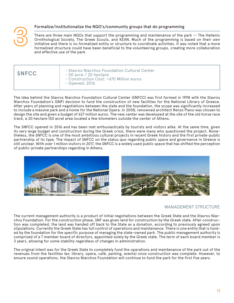#### Formalize/institutionalize the NGO's/community groups that do programming

There are three main NGOs that support the programming and maintenance of the park -- The Hellenic Ornithological Society, The Greek Scouts, and KEAN. Much of the programming is based on their own initiative and there is no formalized entity or structure to coordinate activities. It was noted that a more formalized structure could have been beneficial to the volunteering groups, creating more collaboration and effective use of the park.

| <b>SNFCC</b> | - Stavros Niarchos Foundation Cultural Center<br>$-50$ acre / 20 hectare<br>$\sim$ Construction Cost: $\sim$ 670 Million euros<br>- Opened: 2016 |
|--------------|--------------------------------------------------------------------------------------------------------------------------------------------------|
|--------------|--------------------------------------------------------------------------------------------------------------------------------------------------|

The idea behind the Stavros Niarchos Foundation Cultural Center (SNFCC) was first formed in 1998 with the Stavros Niarchos Foundation's (SNF) decision to fund the construction of new facilities for the National Library of Greece. After years of planning and negotiations between the state and the foundation, the scope was significantly increased to include a massive park and a home for the National Opera. In 2008, renowned architect Renzo Piano was chosen to design the site and given a budget of 627 million euros. The new center was developed at the site of the old horse race track, a 20 hectare (50 acre) area located a few kilometers outside the center of Athens.

The SNFCC opened in 2016 and has been met enthusiastically by tourists and visitors alike. At the same time, given its very large budget and construction during the Greek crisis, there were many who questioned the project. Nonetheless, the SNFCC is one of the most ambitious cultural projects in recent Greek history and the first private-public partnership of its type. The impact of SNFCC on the status quo regarding public space and governance in Greece is still unclear. With over 1 million visitors in 2017, the SNFCC is a widely used public space that has shifted the perception of public-private partnerships regarding in Athens.





### MANAGEMENT STRUCTURE

The current management authority is a product of initial negotiations between the Greek State and the Stavros Niarchos Foundation. For the construction phase, SNF was given land for construction by the Greek state. After construction was completed, the land was handed off back to the State as a donation, according to previously agreed upon stipulations. Currently the Greek State has full control of operations and maintenance. There is one entity that is funded by the foundation for the specific purpose of managing the state-owned park. The public management authority is comprised of a 7 member board of directors, appointed solely by the Greek state. The term of each board member is 3 years, allowing for some stability regardless of changes in administration.

The original intent was for the Greek State to completely fund the operations and maintenance of the park out of the revenues from the facilities (ex: library, opera, café, parking, events) once construction was complete. However, to ensure sound operations, the Stavros Niarchos Foundation will continue to fund the park for the first five years.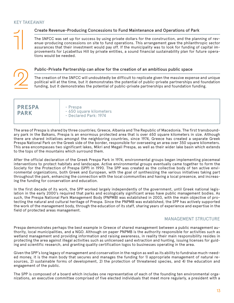#### KEY TAKEAWAY

#### Create Revenue-Producing Concessions to Fund Maintenance and Operations of Park

The SNFCC was set up for success by using private dollars for the construction, and the planning of revenue-producing concessions on site to fund operations. This arrangement gave the philanthropic sector assurances that their investment would pay off. If the municipality was to look for funding of capital improvements for Lycabettus Hill by private entities, a sound financial sustainability plan for future operations would be needed.

#### Public-Private Partnership can allow for the creation of an ambitious public space

The creation of the SNFCC will undoubtedly be difficult to replicate given the massive expense and unique political will at the time, but it demonstrates the potential of public-private partnerships and foundation funding, but it demonstrates the potential of public-private partnerships and foundation funding.

|  | <b>PRESPA</b><br><b>PARK</b> | - Prespa<br>- 650 square kilometers<br>- Declared Park: 1974 |
|--|------------------------------|--------------------------------------------------------------|
|--|------------------------------|--------------------------------------------------------------|

The area of Prespa is shared by three countries; Greece, Albania and The Republic of Macedonia. The first transboundary park in the Balkans, Prespa is an enormous protected area that is over 650 square kilometers in size. Although there are shared initiatives amongst the neighboring countries, since 1974, Greece has created a separate Greek Prespa National Park on the Greek side of the border, responsible for overseeing an area over 350 square kilometers. This area encompasses two significant lakes, Mikri and Megali Prespa, as well as their wider lake basin which extends to the tops of the mountains which surround them.

After the official declaration of the Greek Prespa Park in 1974, environmental groups began implementing piecemeal interventions to protect habitats and landscape. Active environmental groups eventually came together to form the Society for the Protection of Prespa (SPP) in 1990. The SPP was created as the collective body of ten active environmental organizations, both Greek and European, with the goal of synthesizing the various initiatives taking part throughout the park, enhancing the connection with the local communities and having a local presence, and increasing the funding for conservation and education.

In the first decade of its work, the SPP worked largely independently of the government, until Greek national legislation in the early 2000's required that parks and ecologically significant areas have public management bodies. As such, the Prespa National Park Management Body (PNPMB) was established in 2003, with the main objective of protecting the natural and cultural heritage of Prespa. Since the PNPMB was established, the SPP has actively supported the work of the management body, through the education of its staff, sharing years of experience and expertise in the field of protected areas management.

### MANAGEMENT STRUCTURE

Prespa demonstrates perhaps the best example in Greece of shared management between a public management authority, local municipalities, and a NGO. Although on paper PNPMB is the authority responsible for activities such as wetland management and providing information and raising awareness, in reality their main responsibility resides in protecting the area against illegal activities such as unlicensed sand extraction and hunting, issuing licenses for guiding and scientific research, and granting quality certification logos to businesses operating in the area.

Given the SPP's long legacy of management and conservation in the region as well as its ability to fundraise much-needed money, it is the main body that secures and manages the funding for 1) appropriate management of natural resources, 2) sustainable forms of development, 2) the protection of threatened species, and 4) the education and engagement of the public.

The SPP is composed of a board which includes one representative of each of the founding ten environmental organizations, an executive committee comprised of five elected individuals that meet more regularly, a president with a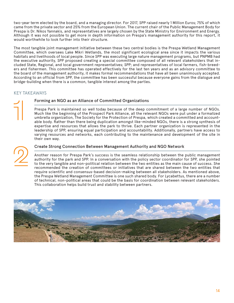two-year term elected by the board, and a managing director. For 2017, SPP raised nearly 1 Million Euros; 75% of which came from the private sector and 25% from the European Union. The current chair of the Public Management Body for Prespa is Dr. Nikos Yannakis, and representatives are largely chosen by the State Ministry for Environment and Energy. Although it was not possible to get more in depth information on Prespa's management authority for this report, it would worthwhile to look further into their structure.

The most tangible joint management initiative between these two central bodies is the Prespa Wetland Management Committee, which oversees Lake Mikri Wetlands, the most significant ecological area since it impacts the various habitats and livelihoods of local people. Since SPP was executing large nature management programs, but PNPMB had the executive authority, SPP proposed creating a special committee composed of all relevant stakeholders that included State, Regional, and local government representatives; SPP; and representatives of local farmers, fish-breeders and fishermen. This committee has operated effectively for the last ten years and as an advisory committee to the board of the management authority, it makes formal recommendations that have all been unanimously accepted. According to an official from SPP, the committee has been successful because everyone gains from the dialogue and bridge-building when there is a common, tangible interest among the parties.

### KEY TAKEAWAYS

#### Forming an NGO as an Alliance of Committed Organizations

Prespa Park is maintained so well today because of the deep commitment of a large number of NGOs. Much like the beginning of the Prospect Park Alliance, all the relevant NGOs were put under a formalized umbrella organization, The Society for the Protection of Prespa, which created a committed and accountable body. Rather than there being duplication amongst like-minded NGOs, there is a strong synthesis of expertise and resources that allows the park to thrive. Each partner organization is represented in the leadership of SPP, ensuring equal participation and accountability. Additionally, partners have access to varying resources and networks, each contributing to the maintenance and development of the site in their own way.

#### Create Strong Connection Between Management Authority and NGO Network

Another reason for Prespa Park's success is the seamless relationship between the public management authority for the park and SPP. In a conversation with the policy sector coordinator for SPP, she pointed to the very tangible and non-political relation between the two entities as the main cause of success. She recommended the creation of committees or initiatives that are shared between the two entities that require scientific and consensus-based decision-making between all stakeholders. As mentioned above, the Prespa Wetland Management Committee is one such shared body. For Lycabettus, there are a number of technical, non-political areas that could be the basis for coordination between relevant stakeholders. This collaboration helps build trust and stability between partners.

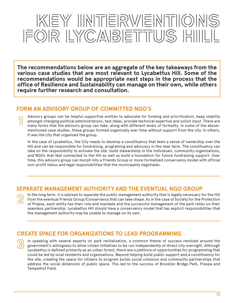# KEY INTERWENTIONS **FOR LYCABETTUS HILL**

**The recommendations below are an aggregate of the key takeaways from the various case studies that are most relevant to Lycabettus Hill. Some of the recommendations would be appropriate next steps in the process that the office of Resilience and Sustainability can manage on their own, while others require further research and consultation.** 

## **FORM AN ADVISORY GROUP OF COMMITTED NGO'S**

Advisory groups can be helpful supportive entities to advocate for funding and prioritization, keep stability amongst changing political administrations, test ideas, provide technical expertise and solicit input. There are many forms that the advisory group can take, along with different levels of formality. In some of the abovementioned case studies, these groups formed organically over time without support from the city. In others, it was the city that organized the group.

In the case of Lycabettus, the City needs to develop a constituency that feels a sense of ownership over the Hill and can be responsible for fundraising, programing and advocacy in the near term. The constituency can take on the responsibility to activate the site, build stewardship in the individuals, community organizations, and NGOs that feel connected to the Hill as well as build a foundation for future fundraising support. Over time, this advisory group can morph into a Friends Group or more formalized conservancy model with official non-profit status and legal responsibilities that the municipality negotiates.

## **SEPARATE MANAGEMENT AUTHORITY AND THE EVENTUAL NGO GROUP**

In the long term, it is advised to separate the public management authority that is legally necessary for the Hill from the eventual Friends Group/Conservancy that can take shape. As in the case of Society for the Protection of Prepsa, each entity has their role and mandate and the successful management of the park relies on their seamless partnership. Lycabettus Hill should have a conservancy model that has explicit responsibilities that the management authority may be unable to manage on its own.

## **CREATE SPACE FOR ORGANIZATIONS TO LEAD PROGRAMMING**

In speaking with several experts on park revitalization, a common theme of success revolved around the government's willingness to allow citizen initiatives to be run independently of direct city oversight. Although Lycabettus is defined primarily as an urban forest, there are a plethora of opportunities for programming that could be led by local residents and organizations. Beyond helping build public support and a constituency for the site, creating the space for citizens to program builds social cohesion and community partnerships that address the social dimension of public space. This led to the success of Brooklyn Bridge Park, Prespa and Tempelhof Field.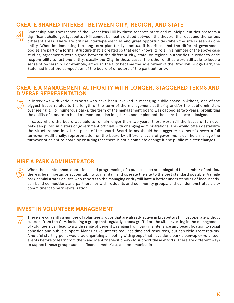## **CREATE SHARED INTEREST BETWEEN CITY, REGION, AND STATE**

Ownership and governance of the Lycabettus Hill by three separate state and municipal entities presents a significant challenge. Lycabettus Hill cannot be neatly divided between the theatre, the road, and the various different areas. There are critical interdependencies and great opportunities when the site is seen as one entity. When implementing the long-term plan for Lycabettus, it is critical that the different government bodies are part of a formal structure that is created so that each knows its role. In a number of the above case studies, agreements were signed between the different city, state, or regional authorities in order to cede responsibility to just one entity, usually the City. In these cases, the other entities were still able to keep a sense of ownership. For example, although the City became the sole owner of the Brooklyn Bridge Park, the State had input the composition of the board of directors of the park authority.

## **CREATE A MANAGEMENT AUTHORITY WITH LONGER, STAGGERED TERMS AND DIVERSE REPRESENTATION**

In interviews with various experts who have been involved in managing public space in Athens, one of the biggest issues relates to the length of the term of the management authority and/or the public ministers overseeing it. For numerous parks, the term of the management board was capped at two years, prohibiting the ability of a board to build momentum, plan long-term, and implement the plans that were designed.

In cases where the board was able to remain longer than two years, there were still the issues of turnover between public ministers or government officials with changing administrations. This would often destabilize the structure and long-term plans of the board. Board terms should be staggered so there is never a full turnover. Additionally, representation on the board by different levels of government can help manage the turnover of an entire board by ensuring that there is not a complete change if one public minister changes.

## **HIRE A PARK ADMINISTRATOR**

When the maintenance, operations, and programming of a public space are delegated to a number of entities, there is less impetus or accountability to maintain and operate the site to the best standard possible. A single park administrator on-site who reports to the managing entity will have a better understanding of local needs, can build connections and partnerships with residents and community groups, and can demonstrates a city commitment to park revitalization.

## **INVEST IN VOLUNTEER MANAGEMENT**

There are currently a number of volunteer groups that are already active in Lycabettus Hill, yet operate without support from the City, including a group that regularly cleans graffiti on the site. Investing in the management of volunteers can lead to a wide range of benefits, ranging from park maintenance and beautification to social cohesion and public support. Managing volunteers requires time and resources, but can yield great returns. A helpful starting point would be organizing a meeting with groups that have done park clean-up or volunteer events before to learn from them and identify specific ways to support these efforts. There are different ways to support these groups such as finance, materials, and communication.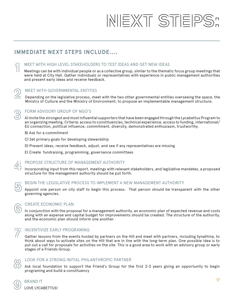# **NEXT STEPS:**

# **IMMEDIATE NEXT STEPS INCLUDE....**

#### MEET WITH HIGH LEVEL STAKEHOLDERS TO TEST IDEAS AND GET NEW IDEAS

Meetings can be with individual people or as a collective group, similar to the thematic focus group meetings that were held at City Hall. Gather individuals or representatives with experience in public management authorities and present early ideas and receive feedback.

#### MEET WITH GOVERNMENTAL ENTITIES

Depending on the legislative process, meet with the two other governmental entities overseeing the space, the Ministry of Culture and the Ministry of Environment, to propose an implementable management structure.



#### FORM ADVISORY GROUP OF NGO'S

A) Invite the strongest and most influential supporters that have been engaged through the Lycabettus Program to an organizing meeting. Criteria: access to constituencies, technical experience, access to funding, international/ EU connection, political influence, commitment, diversity, demonstrated enthusiasm, trustworthy.

- B) Ask for a commitment
- C) Set primary goals for developing stewardship
- D) Present ideas, receive feedback, adjust, and see if any representatives are missing
- E) Create fundraising, programming, governance committees

### PROPOSE STRUCTURE OF MANAGEMENT AUTHORITY

Incorporating input from this report, meetings with relevant stakeholders, and legislative mandates, a proposed structure for the management authority should be put forth.

#### BEGIN THE LEGISLATIVE PROCESS TO IMPLEMENT A NEW MANAGEMENT AUTHORITY

Appoint one person on city staff to begin this process. That person should be transparent with the other governing agencies.



#### CREATE ECONOMIC PLAN

In conjunction with the proposal for a management authority, an economic plan of expected revenue and costs along with an expense and capital budget for improvements should be created. The structure of the authority, and the economic plan should inform one another.

### INCENTIVIZE EARLY PROGRAMING

Gather lessons from the events hosted by partners on the Hill and meet with partners, including Synathina, to think about ways to activate sites on the Hill that are in line with the long-term plan. One possible idea is to put out a call for proposals for activities on the site. This is a good area to work with an advisory group or early stages of a Friends Group.



#### LOOK FOR A STRONG INITIAL PHILANTHROPIC PARTNER

Ask local foundation to support the Friend's Group for the first 2-3 years giving an opportunity to begin programing and build a constituency

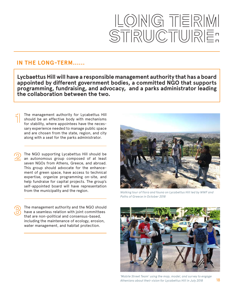# LONG TERIM STRUCTURE:

## **IN THE LONG-TERM......**

**Lycbaettus Hill will have a responsible management authority that has a board appointed by different government bodies, a committed NGO that supports programming, fundraising, and advocacy, and a parks administrator leading the collaboration between the two.** 

The management authority for Lycabettus Hill should be an effective body with mechanisms for stability, where appointees have the necessary experience needed to manage public space and are chosen from the state, region, and city along with a seat for the parks administrator.

The NGO supporting Lycabettus Hill should be an autonomous group composed of at least seven NGOs from Athens, Greece, and abroad. This group should advocate for the enhancement of green space, have access to technical expertise, organize programming on-site, and help fundraise for capital projects. The group's self-appointed board will have representation from the municipality and the region.

The management authority and the NGO should have a seamless relation with joint committees that are non-political and consensus-based, including the maintenance of ecology, erosion, water management, and habitat protection.



*Walking tour of flora and fauna on Lycabettus Hill led by WWF and Paths of Greece in October 2018*



17 18 *Athenians about their vision for Lycabettus Hill in July 2018 'Mobile Street Team' using the map, model, and survey to engage*